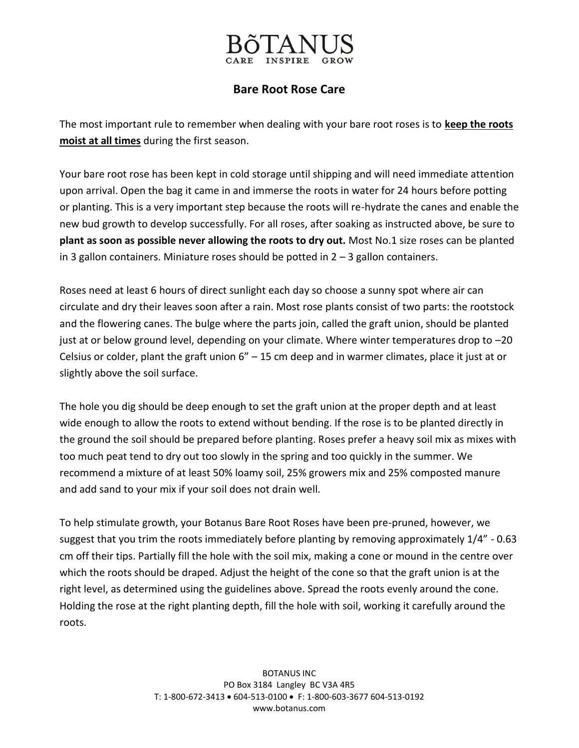## **Bare Root Rose Care**

The most important rule to remember when dealing with your bare root roses is to **keep the roots moist at all times** during the first season.

Your bare root rose has been kept in cold storage until shipping and will need immediate attention upon arrival. Open the bag it came in and immerse the roots in water for 24 hours before potting or planting. This is a very important step because the roots will re-hydrate the canes and enable the new bud growth to develop successfully. For all roses, after soaking as instructed above, be sure to **plant as soon as possible never allowing the roots to dry out.** Most No.1 size roses can be planted in 3 gallon containers. Miniature roses should be potted in  $2 - 3$  gallon containers.

Roses need at least 6 hours of direct sunlight each day so choose a sunny spot where air can circulate and dry their leaves soon after a rain. Most rose plants consist of two parts: the rootstock and the flowering canes. The bulge where the parts join, called the graft union, should be planted just at or below ground level, depending on your climate. Where winter temperatures drop to –20 Celsius or colder, plant the graft union 6" – 15 cm deep and in warmer climates, place it just at or slightly above the soil surface.

The hole you dig should be deep enough to set the graft union at the proper depth and at least wide enough to allow the roots to extend without bending. If the rose is to be planted directly in the ground the soil should be prepared before planting. Roses prefer a heavy soil mix as mixes with too much peat tend to dry out too slowly in the spring and too quickly in the summer. We recommend a mixture of at least 50% loamy soil, 25% growers mix and 25% composted manure and add sand to your mix if your soil does not drain well.

To help stimulate growth, your Botanus Bare Root Roses have been pre-pruned, however, we suggest that you trim the roots immediately before planting by removing approximately 1/4" - 0.63 cm off their tips. Partially fill the hole with the soil mix, making a cone or mound in the centre over which the roots should be draped. Adjust the height of the cone so that the graft union is at the right level, as determined using the guidelines above. Spread the roots evenly around the cone. Holding the rose at the right planting depth, fill the hole with soil, working it carefully around the roots.

> BOTANUS INC PO Box 3184 Langley BC V3A 4R5 T: 1-800-672-3413 604-513-0100 F: 1-800-603-3677 604-513-0192 www.botanus.com